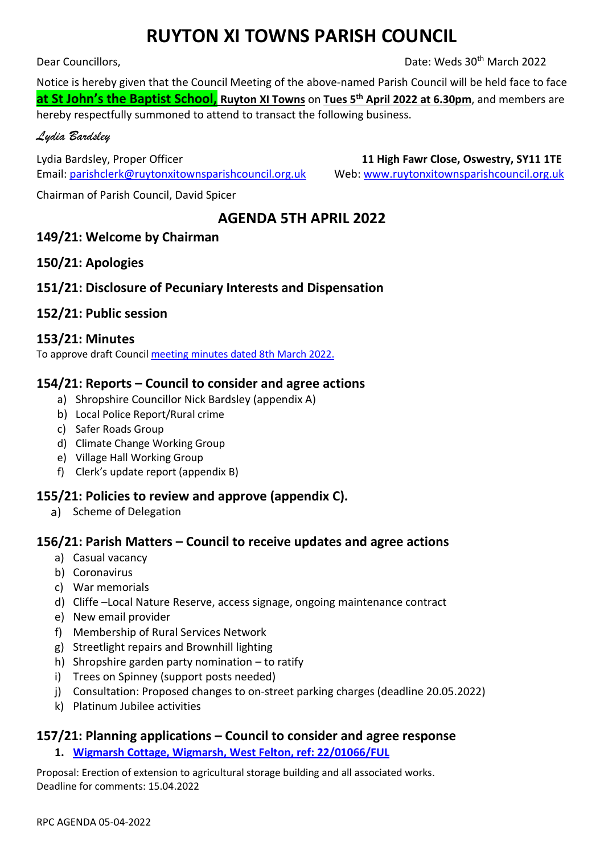# **RUYTON XI TOWNS PARISH COUNCIL**

Dear Councillors, Date: Weds 30<sup>th</sup> March 2022

Notice is hereby given that the Council Meeting of the above-named Parish Council will be held face to face **at St John's the Baptist School, Ruyton XI Towns** on **Tues 5 th April 2022 at 6.30pm**, and members are hereby respectfully summoned to attend to transact the following business.

#### *Lydia Bardsley*

Lydia Bardsley, Proper Officer **11 High Fawr Close, Oswestry, SY11 1TE**  Email[: parishclerk@ruytonxitownsparishcouncil.org.uk](mailto:parishclerk@ruytonxitownsparishcouncil.org.uk) Web: [www.ruytonxitownsparishcouncil.org.uk](http://www.ruytonxitownsparishcouncil.org.uk/)

Chairman of Parish Council, David Spicer

# **AGENDA 5TH APRIL 2022**

## **149/21: Welcome by Chairman**

#### **150/21: Apologies**

## **151/21: Disclosure of Pecuniary Interests and Dispensation**

## **152/21: Public session**

#### **153/21: Minutes**

To approve draft Council [meeting minutes dated](http://www.ruytonxitownsparishcouncil.org.uk/wp-content/uploads/2022/03/March-2022-minutes.pdf) 8th March 2022.

## **154/21: Reports – Council to consider and agree actions**

- a) Shropshire Councillor Nick Bardsley (appendix A)
- b) Local Police Report/Rural crime
- c) Safer Roads Group
- d) Climate Change Working Group
- e) Village Hall Working Group
- f) Clerk's update report (appendix B)

#### **155/21: Policies to review and approve (appendix C).**

a) Scheme of Delegation

#### **156/21: Parish Matters – Council to receive updates and agree actions**

- a) Casual vacancy
- b) Coronavirus
- c) War memorials
- d) Cliffe –Local Nature Reserve, access signage, ongoing maintenance contract
- e) New email provider
- f) Membership of Rural Services Network
- g) Streetlight repairs and Brownhill lighting
- h) Shropshire garden party nomination to ratify
- i) Trees on Spinney (support posts needed)
- j) Consultation: Proposed changes to on-street parking charges (deadline 20.05.2022)
- k) Platinum Jubilee activities

#### **157/21: Planning applications – Council to consider and agree response**

**1. [Wigmarsh Cottage, Wigmarsh, West Felton, ref: 22/01066/FUL](https://pa.shropshire.gov.uk/online-applications/applicationDetails.do?activeTab=summary&keyVal=R86NGDTDM0200)**

Proposal: Erection of extension to agricultural storage building and all associated works. Deadline for comments: 15.04.2022